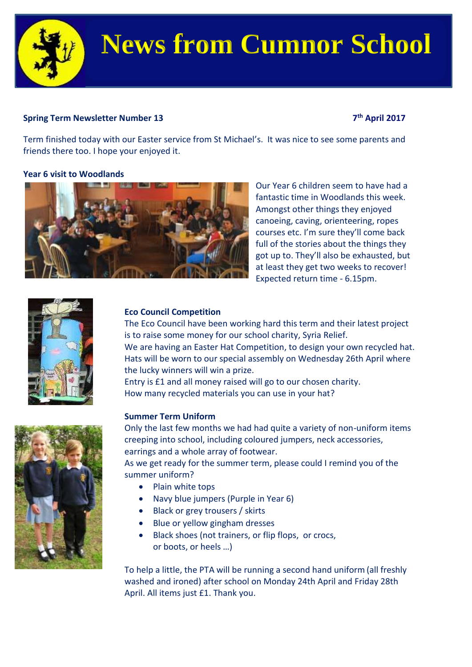

# **News from Cumnor School**

# **Spring Term Newsletter Number 13**

## **th April 2017**

Term finished today with our Easter service from St Michael's. It was nice to see some parents and friends there too. I hope your enjoyed it.

# **Year 6 visit to Woodlands**



Our Year 6 children seem to have had a fantastic time in Woodlands this week. Amongst other things they enjoyed canoeing, caving, orienteering, ropes courses etc. I'm sure they'll come back full of the stories about the things they got up to. They'll also be exhausted, but at least they get two weeks to recover! Expected return time - 6.15pm.



# **Eco Council Competition**

The Eco Council have been working hard this term and their latest project is to raise some money for our school charity, Syria Relief. We are having an Easter Hat Competition, to design your own recycled hat. Hats will be worn to our special assembly on Wednesday 26th April where the lucky winners will win a prize.

Entry is £1 and all money raised will go to our chosen charity. How many recycled materials you can use in your hat?

### **Summer Term Uniform**

Only the last few months we had had quite a variety of non-uniform items creeping into school, including coloured jumpers, neck accessories, earrings and a whole array of footwear.

As we get ready for the summer term, please could I remind you of the summer uniform?

- Plain white tops
- Navy blue jumpers (Purple in Year 6)
- Black or grey trousers / skirts
- Blue or yellow gingham dresses
- Black shoes (not trainers, or flip flops, or crocs, or boots, or heels …)

To help a little, the PTA will be running a second hand uniform (all freshly washed and ironed) after school on Monday 24th April and Friday 28th April. All items just £1. Thank you.

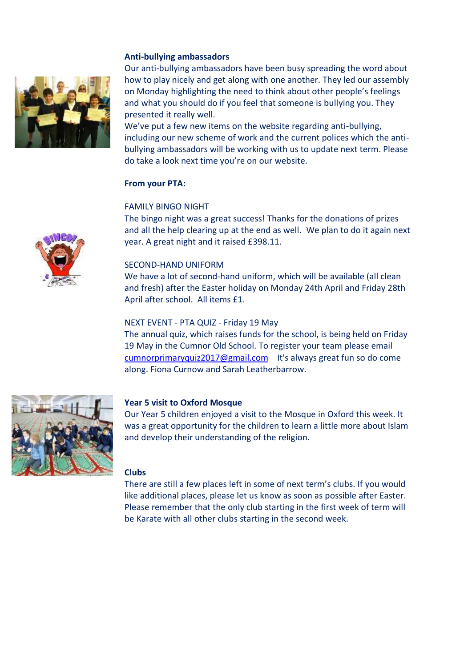#### **Anti-bullying ambassadors**



Our anti-bullying ambassadors have been busy spreading the word about how to play nicely and get along with one another. They led our assembly on Monday highlighting the need to think about other people's feelings and what you should do if you feel that someone is bullying you. They presented it really well.

We've put a few new items on the website regarding anti-bullying, including our new scheme of work and the current polices which the antibullying ambassadors will be working with us to update next term. Please do take a look next time you're on our website.

#### **From your PTA:**

#### FAMILY BINGO NIGHT

The bingo night was a great success! Thanks for the donations of prizes and all the help clearing up at the end as well. We plan to do it again next year. A great night and it raised £398.11.

#### SECOND-HAND UNIFORM

We have a lot of second-hand uniform, which will be available (all clean and fresh) after the Easter holiday on Monday 24th April and Friday 28th April after school. All items £1.

#### NEXT EVENT - PTA QUIZ - Friday 19 May

The annual quiz, which raises funds for the school, is being held on Friday 19 May in the Cumnor Old School. To register your team please email [cumnorprimaryquiz2017@gmail.com](mailto:cumnorprimaryquiz2017@gmail.com) It's always great fun so do come along. Fiona Curnow and Sarah Leatherbarrow.



#### **Year 5 visit to Oxford Mosque**

Our Year 5 children enjoyed a visit to the Mosque in Oxford this week. It was a great opportunity for the children to learn a little more about Islam and develop their understanding of the religion.

#### **Clubs**

There are still a few places left in some of next term's clubs. If you would like additional places, please let us know as soon as possible after Easter. Please remember that the only club starting in the first week of term will be Karate with all other clubs starting in the second week.